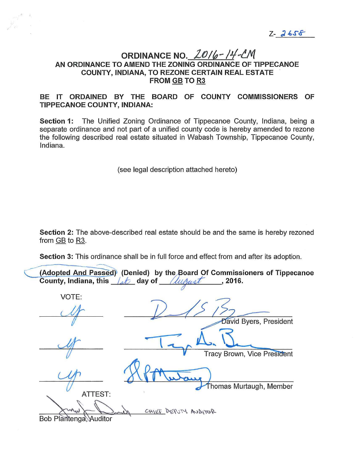$Z - 2658$ 

### ORDINANCE NO.  $2016 - 14 - CM$ AN ORDINANCE TO AMEND THE ZONING ORDINANCE OF TIPPECANOE COUNTY, INDIANA, TO REZONE CERTAIN REAL ESTATE FROM GB TO R3

#### BE IT ORDAINED BY THE BOARD OF COUNTY COMMISSIONERS OF TIPPECANOE COUNTY, INDIANA:

Section 1: The Unified Zoning Ordinance of Tippecanoe County, Indiana, being a separate ordinance and not part of a unified county code is hereby amended to rezone the following described real estate situated in Wabash Township, Tippecanoe County, Indiana.

(see legal description attached hereto)

Section 2: The above-described real estate should be and the same is hereby rezoned from GB to R3.

Section 3: This ordinance shall be in full force and effect from and after its adoption.

| (Adopted And Passed) (Denied) by the Board Of Commissioners of Tippecanoe |  |  |         |  |
|---------------------------------------------------------------------------|--|--|---------|--|
| County, Indiana, this $\int_{\mathscr{A}} f \, d$ ay of <i>lugast</i>     |  |  | . 2016. |  |

| VOTE:                        |                             |
|------------------------------|-----------------------------|
|                              | David Byers, President      |
|                              | Tracy Brown, Vice President |
|                              | homas Murtaugh, Member      |
| ATTEST:                      |                             |
| ww<br>Bob Plantenga, Auditor | SUIVER MORTHS 341HD         |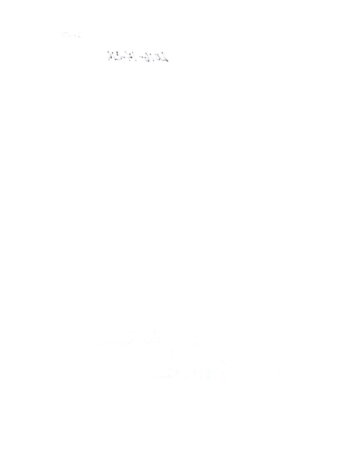# $2016 - 14 - 214$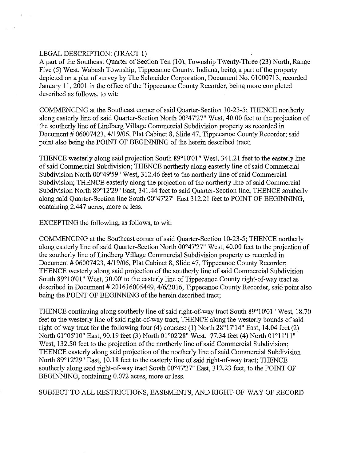#### LEGAL DESCRIPTION: (TRACT 1)

A part of the Southeast Quarter of Section Ten (10), Township Twenty-Three (23) North, Range Five (5) West, Wabash Township, Tippecanoe County, Indiana, being a part of the property depicted on a plat of survey by The Schneider Corporation, Document No. 01000713, recorded January 11, 2001 in the office of the Tippecanoe County Recorder, being more completed described as follows, to wit:

COMMENCING at the Southeast comer of said Quarter-Section 10-23-5; THENCE northerly along easterly line of said Quarter-Section North 00°47'27" West, 40.00 feet to the projection of the southerly line of Lindberg Village Commercial Subdivision property as recorded in Document # 06007423, 4/19/06, Plat Cabinet 8, Slide 47, Tippecanoe County Recorder; said point also being the POINT OF BEGINNING of the herein described tract;

THENCE westerly along said projection South 89°10'01" West, 341.21 feet to the easterly line of said Commercial Subdivision; THENCE northerly along easterly line of said Commercial Subdivision North 00°49'59" West, 312.46 feet to the northerly line of said Commercial Subdivision; THENCE easterly along the projection of the northerly line of said Commercial Subdivision North 89°12'29" East, 341.44 feet to said Quarter-Section line; THENCE southerly along said Quarter-Section line South 00°47'27" East 312.21 feet to POINT OF BEGINNING, containing 2.447 acres, more or less.

EXCEPTING the following, as follows, to wit:

COMMENCING at the Southeast comer of said Quarter-Section 10-23-5; THENCE northerly along easterly line of said Quarter-Section North 00°47'27" West, 40.00 feet to the projection of the southerly line of Lindberg Village Commercial Subdivision property as recorded in Document # 06007423, 4/19/06, Plat Cabinet 8, Slide 47, Tippecanoe County Recorder; THENCE westerly along said projection of the southerly line of said Commercial Subdivision South 89°10'01" West, 30.00' to the easterly line of Tippecanoe County right-of-way tract as described in Document # 201616005449, 4/6/2016, Tippecanoe County Recorder, said point also being the POINT OF BEGINNING of the herein described tract;

THENCE continuing along southerly line of said right-of-way tract South 89°10'01" West, 18.70 feet to the westerly line of said right-of-way tract, THENCE along the westerly bounds of said right-of-way tract for the following four  $(4)$  courses: (1) North  $28^{\circ}17'14''$  East, 14.04 feet (2) North 01°05'10" East, 90.19 feet (3) North 01°02'28" West, 77.34 feet (4) North 01°11'11" West, 132.50 feet to the projection of the northerly line of said Commercial Subdivision; THENCE easterly along said projection of the northerly line of said Commercial Subdivision North 89°12'29" East, 10.18 feet to the easterly line of said right-of-way tract; THENCE southerly along said right-of-way tract South 00°47'27" East, 312.23 feet, to the POINT OF BEGINNING, containing 0.072 acres, more or less.

SUBJECT TO ALL RESTRICTIONS, EASEMENTS, AND RIGHT-OF-WAY OF RECORD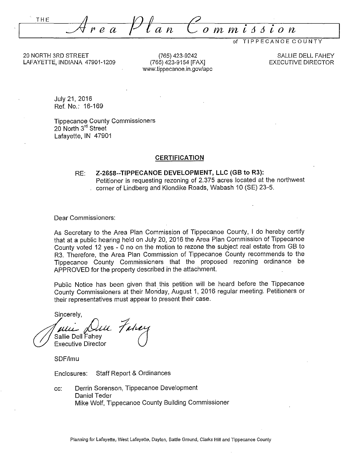$\mathcal{A}_{re}$  *Plan Commission* 

of TIPPECANOE COUNTY

20 NORTH 3RD STREET LAFAYETTE, INDIANA 47901-1209

(765) 423-9242 (765) 423-9154 [FAX] www.tippecanoe.in.gov/apc

SALLIE DELL FAHEY EXECUTIVE DIRECTOR

July 21, 2016 Ref. No.: 16-169

Tippecanoe County Commissioners 20 North 3<sup>rd</sup> Street Lafayette, IN 47901

#### **CERTIFICATION**

RE: **Z-2658--TIPPECANOE DEVELOPMENT, LLC (GB to R3):**  Petitioner is requesting rezoning of 2.375 acres located at the northwest corner of Lindberg and Klondike Roads, Wabash 10 (SE) 23-5.

Dear Commissioners:

As Secretary to the Area Plan Commission of Tippecanoe County, I do hereby certify that at a public hearing held on July 20, 2016 the Area Plan Commission of Tippecanoe County voted 12 yes - O no on the motion to rezone the subject real estate from GB to R3. Therefore, the Area Plan Commission of Tippecanoe County recommends to the Tippecanoe County Commissioners that the proposed rezoning ordinance be APPROVED for the property described in the attachment.

Public Notice has been given that this petition will be heard before the Tippecanoe County Commissioners at their Monday, August 1, 20.16 regular meeting. Petitioners or their representatives must appear to present their case.

Sincerely,

Sultantin,<br>*Multi Dulle Fahey*<br>Executive Director

SDF/lmu

Enclosures: Staff Report & Ordinances

cc: Derrin Sorenson, Tippecanoe Development Daniel Teder Mike Wolf, Tippecanoe County Building Commissioner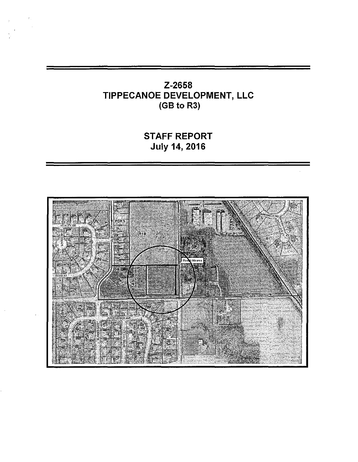# Z-2658 TIPPECANOE DEVELOPMENT, LLC (GB to R3)

STAFF REPORT July 14, 2016

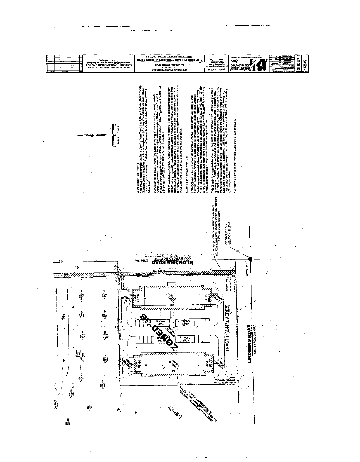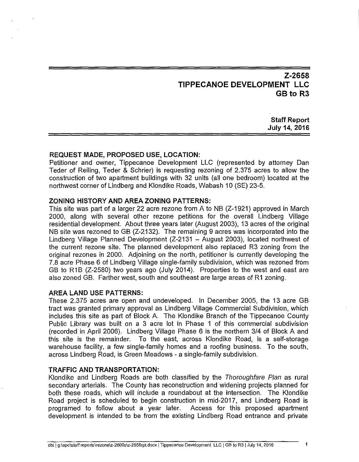## **Z-2658 TIPPECANOE DEVELOPMENT LLC GB to R3**

**Staff Report July 14, 2016** 

#### **REQUEST MADE, PROPOSED USE, LOCATION:**

Petitioner and owner, Tippecanoe Development LLC (represented by attorney Dan Teder of Reiling, Teder & Schrier) is requesting rezoning of 2.375 acres to allow the construction of two apartment buildings with 32 units (all one bedroom) located at the northwest corner of Lindberg and Klondike Roads, Wabash 10 (SE) 23-5.

#### **ZONING HISTORY AND AREA ZONING PATTERNS:**

This site was part of a larger 22 acre rezone from A to NB (Z-1921) approved in March 2000, along with several other rezone petitions for the overall Lindberg Village residential development. About three years later (August 2003), 13 acres of the original NB site was rezoned to GB (Z-2132). The remaining 9 acres was incorporated into the Lindberg Village Planned Development (Z-2131 - August 2003), located northwest of the current rezone site. The planned development also replaced R3 zoning from the original rezones in 2000. Adjoining on the north, petitioner is currently developing the 7.8 acre Phase 6 of Lindberg Village single-family subdivision, which was rezoned from GB to R1B (Z-2580) two years ago (July 2014). Properties to the west and east are also zoned GB. Farther west, south and southeast are large areas of R1 zoning.

#### **AREA LAND USE PATTERNS:**

These 2.375 acres are open and undeveloped. In December 2005, the 13 acre GB tract was granted primary approval as Lindberg Village Commercial Subdivision, which includes this site as part of Block A. The Klondike Branch of the Tippecanoe County Public Library was built on a 3 acre lot in Phase 1 of this commercial subdivision (recorded in April 2006). Lindberg Village Phase 6 is the northern 3/4 of Block A and this site is the remainder. To the east, across Klondike Road, is a self-storage warehouse facility, a few single-family homes and a roofing business. To the south, across Lindberg Road, is Green Meadows - a single-family subdivision.

#### **TRAFFIC AND TRANSPORTATION:**

Klondike and Lindberg Roads are both classified by the Thoroughfare Plan as rural secondary arterials. The County has reconstruction and widening projects planned for both these roads, which will include a roundabout at the intersection. The Klondike Road project is scheduled to begin construction in mid-2017, and Lindberg Road is programed to follow about a year later. Access for this proposed apartment development is intended to be from the existing Lindberg Road entrance and private

1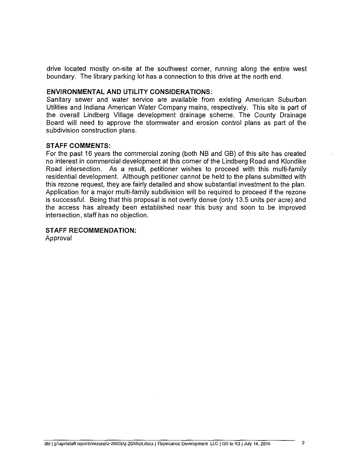drive located mostly on-site at the southwest corner, running along the entire west boundary. The library parking lot has a connection to this drive at the north end.

#### **ENVIRONMENTAL AND UTILITY CONSIDERATIONS:**

Sanitary sewer and water service are available from existing American Suburban Utilities and Indiana American Water Company mains, respectively. This site is part of the overall Lindberg Village development drainage scheme. The County Drainage Board will need to approve the stormwater and erosion control plans as part of the subdivision construction plans.

#### **STAFF COMMENTS:**

For the past 16 years the commercial zoning (both NB and GB) of this site has created no interest in commercial development at this corner of the Lindberg Road and Klondike Road intersection. As a result, petitioner wishes to proceed with this multi-family residential development. Although petitioner cannot be held to the plans submitted with this rezone request, they are fairly detailed and show substantial investment to the plan. Application for a major multi-family subdivision will be required to proceed if the rezone is successful. Being that this proposal is not overly dense (only 13.5 units per acre) and the access has already been established near this busy and soon to be improved intersection, staff has no objection.

#### **STAFF RECOMMENDATION:**

Approval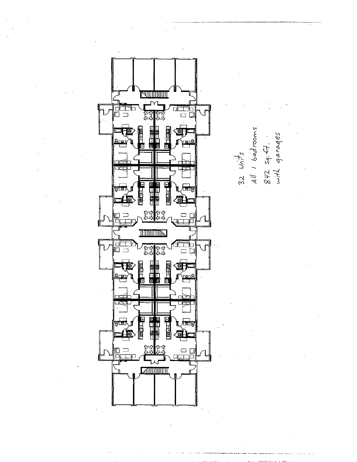